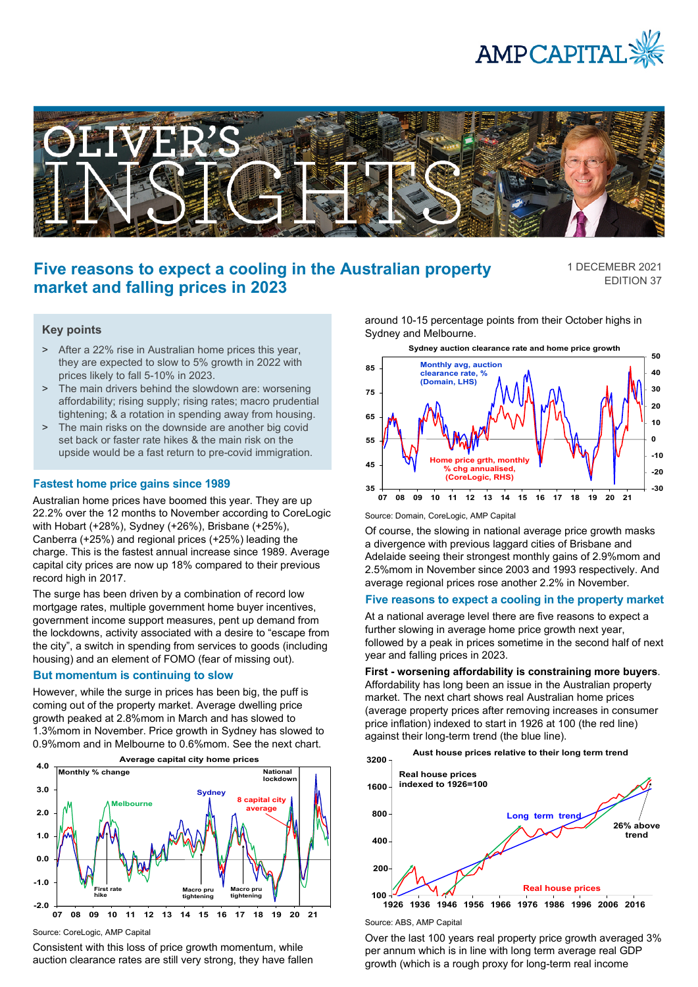



# **Five reasons to expect a cooling in the Australian property market and falling prices in 2023**

1 DECEMEBR 2021 EDITION 37

## **Key points**

- > After a 22% rise in Australian home prices this year, they are expected to slow to 5% growth in 2022 with prices likely to fall 5-10% in 2023.
- > The main drivers behind the slowdown are: worsening affordability; rising supply; rising rates; macro prudential tightening; & a rotation in spending away from housing.
- > The main risks on the downside are another big covid set back or faster rate hikes & the main risk on the upside would be a fast return to pre-covid immigration.

### **Fastest home price gains since 1989**

Australian home prices have boomed this year. They are up 22.2% over the 12 months to November according to CoreLogic with Hobart (+28%), Sydney (+26%), Brisbane (+25%), Canberra (+25%) and regional prices (+25%) leading the charge. This is the fastest annual increase since 1989. Average capital city prices are now up 18% compared to their previous record high in 2017.

The surge has been driven by a combination of record low mortgage rates, multiple government home buyer incentives, government income support measures, pent up demand from the lockdowns, activity associated with a desire to "escape from the city", a switch in spending from services to goods (including housing) and an element of FOMO (fear of missing out).

#### **But momentum is continuing to slow**

However, while the surge in prices has been big, the puff is coming out of the property market. Average dwelling price growth peaked at 2.8%mom in March and has slowed to 1.3%mom in November. Price growth in Sydney has slowed to 0.9%mom and in Melbourne to 0.6%mom. See the next chart.



Source: CoreLogic, AMP Capital

Consistent with this loss of price growth momentum, while auction clearance rates are still very strong, they have fallen around 10-15 percentage points from their October highs in Sydney and Melbourne.



Source: Domain, CoreLogic, AMP Capital

Of course, the slowing in national average price growth masks a divergence with previous laggard cities of Brisbane and Adelaide seeing their strongest monthly gains of 2.9%mom and 2.5%mom in November since 2003 and 1993 respectively. And average regional prices rose another 2.2% in November.

## **Five reasons to expect a cooling in the property market**

At a national average level there are five reasons to expect a further slowing in average home price growth next year, followed by a peak in prices sometime in the second half of next year and falling prices in 2023.

**First - worsening affordability is constraining more buyers**. Affordability has long been an issue in the Australian property market. The next chart shows real Australian home prices (average property prices after removing increases in consumer price inflation) indexed to start in 1926 at 100 (the red line) against their long-term trend (the blue line).





Source: ABS, AMP Capital

Over the last 100 years real property price growth averaged 3% per annum which is in line with long term average real GDP growth (which is a rough proxy for long-term real income